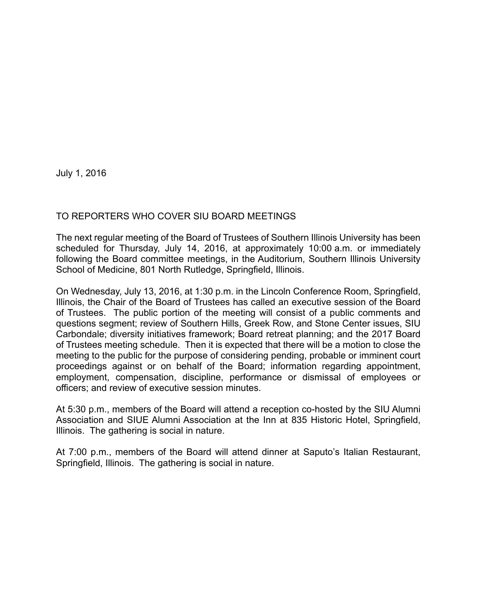July 1, 2016

## TO REPORTERS WHO COVER SIU BOARD MEETINGS

The next regular meeting of the Board of Trustees of Southern Illinois University has been scheduled for Thursday, July 14, 2016, at approximately 10:00 a.m. or immediately following the Board committee meetings, in the Auditorium, Southern Illinois University School of Medicine, 801 North Rutledge, Springfield, Illinois.

On Wednesday, July 13, 2016, at 1:30 p.m. in the Lincoln Conference Room, Springfield, Illinois, the Chair of the Board of Trustees has called an executive session of the Board of Trustees. The public portion of the meeting will consist of a public comments and questions segment; review of Southern Hills, Greek Row, and Stone Center issues, SIU Carbondale; diversity initiatives framework; Board retreat planning; and the 2017 Board of Trustees meeting schedule. Then it is expected that there will be a motion to close the meeting to the public for the purpose of considering pending, probable or imminent court proceedings against or on behalf of the Board; information regarding appointment, employment, compensation, discipline, performance or dismissal of employees or officers; and review of executive session minutes.

At 5:30 p.m., members of the Board will attend a reception co-hosted by the SIU Alumni Association and SIUE Alumni Association at the Inn at 835 Historic Hotel, Springfield, Illinois. The gathering is social in nature.

At 7:00 p.m., members of the Board will attend dinner at Saputo's Italian Restaurant, Springfield, Illinois. The gathering is social in nature.